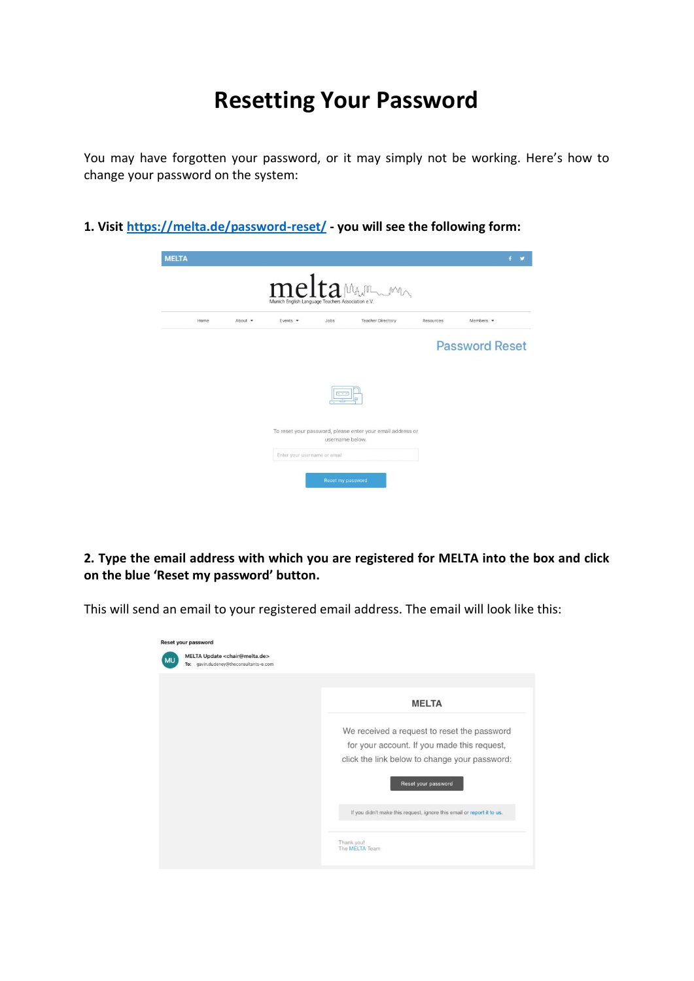## **Resetting Your Password**

You may have forgotten your password, or it may simply not be working. Here's how to change your password on the system:

**1. Visit<https://melta.de/password-reset/> - you will see the following form:**

|      |         | Munich English Language Teachers Association e.V. |                 | meltaMAn                                                   |           |                       |
|------|---------|---------------------------------------------------|-----------------|------------------------------------------------------------|-----------|-----------------------|
| Home | About - | Events $\sim$                                     | Jobs            | <b>Teacher Directory</b>                                   | Resources | Members -             |
|      |         |                                                   |                 |                                                            |           | <b>Password Reset</b> |
|      |         |                                                   |                 |                                                            |           |                       |
|      |         |                                                   |                 |                                                            |           |                       |
|      |         |                                                   |                 | To reset your password, please enter your email address or |           |                       |
|      |         | Enter your username or email                      | username below. |                                                            |           |                       |

**2. Type the email address with which you are registered for MELTA into the box and click on the blue 'Reset my password' button.**

This will send an email to your registered email address. The email will look like this:

| MELTA Update <chair@melta.de><br/>To: gavin.dudeney@theconsultants-e.com</chair@melta.de> |                                                                                            |
|-------------------------------------------------------------------------------------------|--------------------------------------------------------------------------------------------|
|                                                                                           | <b>MELTA</b>                                                                               |
|                                                                                           | We received a request to reset the password<br>for your account. If you made this request, |
|                                                                                           | click the link below to change your password:<br>Reset your password                       |
|                                                                                           | If you didn't make this request, ignore this email or report it to us.                     |
|                                                                                           | Thank you!                                                                                 |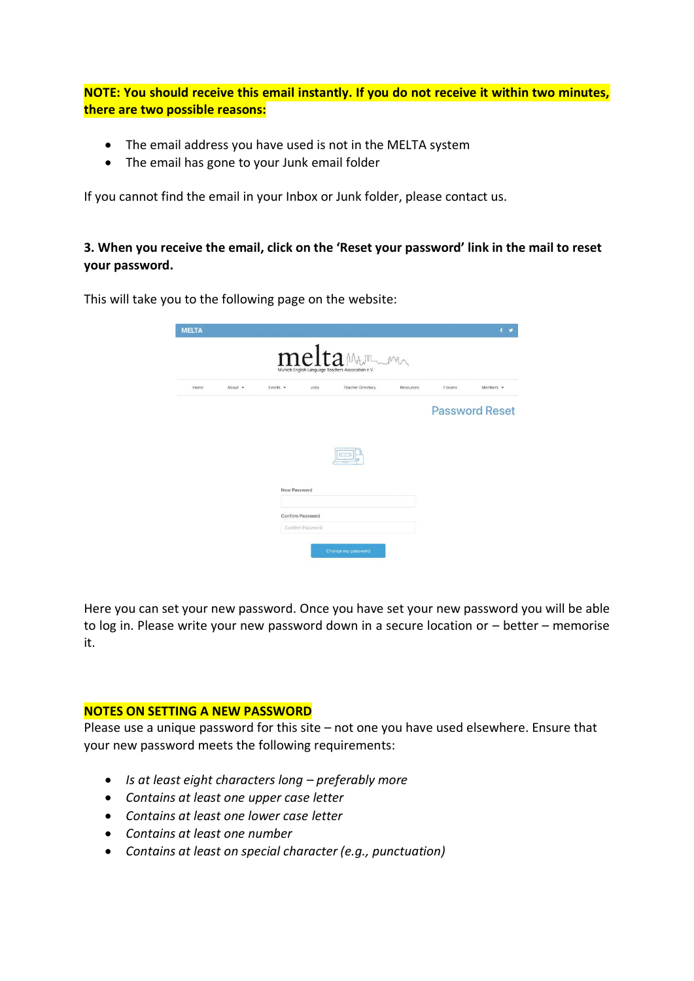**NOTE: You should receive this email instantly. If you do not receive it within two minutes, there are two possible reasons:**

- The email address you have used is not in the MELTA system
- The email has gone to your Junk email folder

If you cannot find the email in your Inbox or Junk folder, please contact us.

## **3. When you receive the email, click on the 'Reset your password' link in the mail to reset your password.**

|  | This will take you to the following page on the website: |
|--|----------------------------------------------------------|
|--|----------------------------------------------------------|

| <b>MELTA</b> |         |               |                  | meltamm                                                                       |           |                       | $f$ $\prime$    |
|--------------|---------|---------------|------------------|-------------------------------------------------------------------------------|-----------|-----------------------|-----------------|
| Home         | About - | Events $\sim$ | Jobs             | Munich English Language Teachers Association e.V.<br><b>Teacher Directory</b> | Resources | Forums                | Members $\star$ |
|              |         |               |                  |                                                                               |           | <b>Password Reset</b> |                 |
|              |         | New Password  |                  |                                                                               |           |                       |                 |
|              |         |               | Confirm Password |                                                                               |           |                       |                 |

Here you can set your new password. Once you have set your new password you will be able to log in. Please write your new password down in a secure location or – better – memorise it.

## **NOTES ON SETTING A NEW PASSWORD**

Please use a unique password for this site – not one you have used elsewhere. Ensure that your new password meets the following requirements:

- *Is at least eight characters long – preferably more*
- *Contains at least one upper case letter*
- *Contains at least one lower case letter*
- *Contains at least one number*
- *Contains at least on special character (e.g., punctuation)*